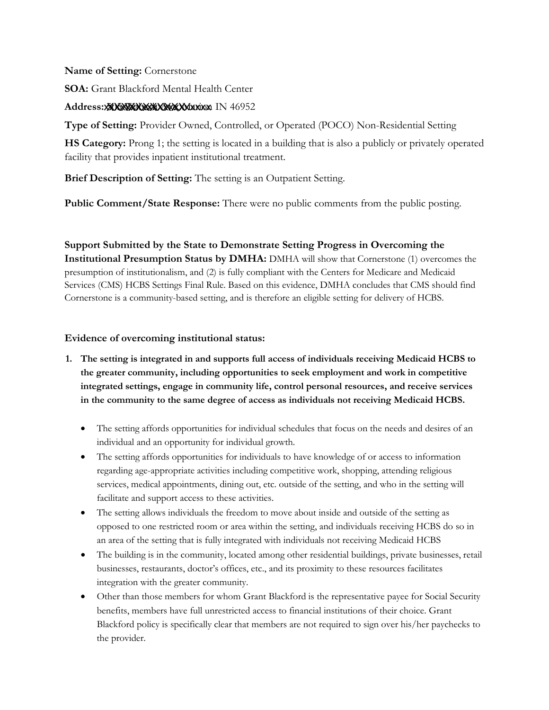#### **Name of Setting:** Cornerstone

**SOA:** Grant Blackford Mental Health Center

## **Address:** xxxxxxxxxxxxxxxxxxxx XXXXXXXXXXX 505 Wabash Ave, Marion IN 46952

**Type of Setting:** Provider Owned, Controlled, or Operated (POCO) Non-Residential Setting

**HS Category:** Prong 1; the setting is located in a building that is also a publicly or privately operated facility that provides inpatient institutional treatment.

**Brief Description of Setting:** The setting is an Outpatient Setting.

**Public Comment/State Response:** There were no public comments from the public posting.

 presumption of institutionalism, and (2) is fully compliant with the Centers for Medicare and Medicaid Services (CMS) HCBS Settings Final Rule. Based on this evidence, DMHA concludes that CMS should find **Support Submitted by the State to Demonstrate Setting Progress in Overcoming the Institutional Presumption Status by DMHA:** DMHA will show that Cornerstone (1) overcomes the Cornerstone is a community-based setting, and is therefore an eligible setting for delivery of HCBS.

- **1. The setting is integrated in and supports full access of individuals receiving Medicaid HCBS to the greater community, including opportunities to seek employment and work in competitive integrated settings, engage in community life, control personal resources, and receive services in the community to the same degree of access as individuals not receiving Medicaid HCBS.**
	- • The setting affords opportunities for individual schedules that focus on the needs and desires of an individual and an opportunity for individual growth.
	- • The setting affords opportunities for individuals to have knowledge of or access to information regarding age-appropriate activities including competitive work, shopping, attending religious services, medical appointments, dining out, etc. outside of the setting, and who in the setting will facilitate and support access to these activities.
	- • The setting allows individuals the freedom to move about inside and outside of the setting as opposed to one restricted room or area within the setting, and individuals receiving HCBS do so in an area of the setting that is fully integrated with individuals not receiving Medicaid HCBS
	- • The building is in the community, located among other residential buildings, private businesses, retail businesses, restaurants, doctor's offices, etc., and its proximity to these resources facilitates integration with the greater community.
	- • Other than those members for whom Grant Blackford is the representative payee for Social Security benefits, members have full unrestricted access to financial institutions of their choice. Grant Blackford policy is specifically clear that members are not required to sign over his/her paychecks to the provider.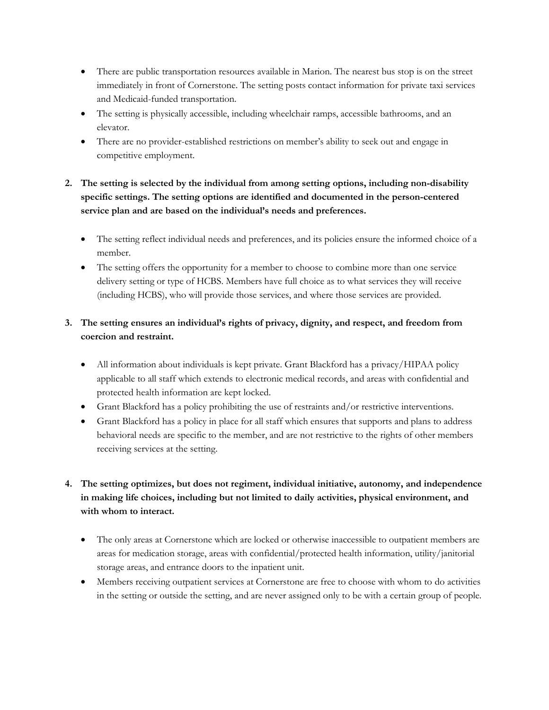- • There are public transportation resources available in Marion. The nearest bus stop is on the street immediately in front of Cornerstone. The setting posts contact information for private taxi services and Medicaid-funded transportation.
- • The setting is physically accessible, including wheelchair ramps, accessible bathrooms, and an elevator.
- • There are no provider-established restrictions on member's ability to seek out and engage in competitive employment.
- **2. The setting is selected by the individual from among setting options, including non-disability specific settings. The setting options are identified and documented in the person-centered service plan and are based on the individual's needs and preferences.**
	- • The setting reflect individual needs and preferences, and its policies ensure the informed choice of a member.
	- • The setting offers the opportunity for a member to choose to combine more than one service delivery setting or type of HCBS. Members have full choice as to what services they will receive (including HCBS), who will provide those services, and where those services are provided.

# **3. The setting ensures an individual's rights of privacy, dignity, and respect, and freedom from coercion and restraint.**

- • All information about individuals is kept private. Grant Blackford has a privacy/HIPAA policy applicable to all staff which extends to electronic medical records, and areas with confidential and protected health information are kept locked.
- Grant Blackford has a policy prohibiting the use of restraints and/or restrictive interventions.
- • Grant Blackford has a policy in place for all staff which ensures that supports and plans to address behavioral needs are specific to the member, and are not restrictive to the rights of other members receiving services at the setting.
- **4. The setting optimizes, but does not regiment, individual initiative, autonomy, and independence in making life choices, including but not limited to daily activities, physical environment, and with whom to interact.**
	- • The only areas at Cornerstone which are locked or otherwise inaccessible to outpatient members are areas for medication storage, areas with confidential/protected health information, utility/janitorial storage areas, and entrance doors to the inpatient unit.
	- • Members receiving outpatient services at Cornerstone are free to choose with whom to do activities in the setting or outside the setting, and are never assigned only to be with a certain group of people.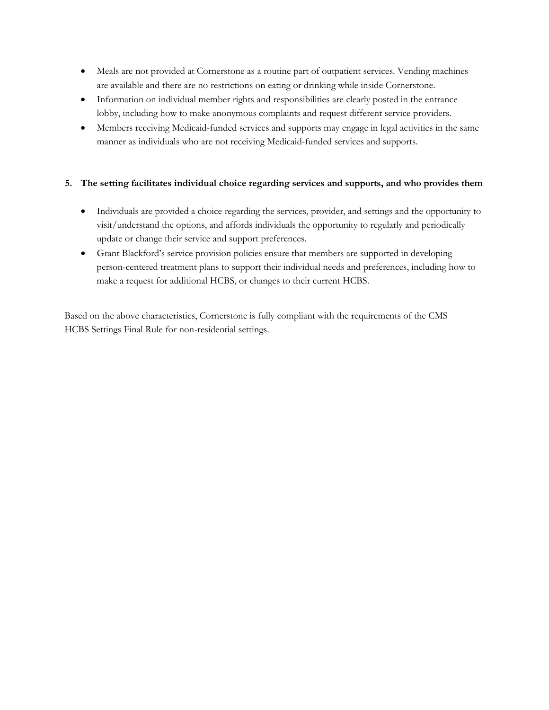- • Meals are not provided at Cornerstone as a routine part of outpatient services. Vending machines are available and there are no restrictions on eating or drinking while inside Cornerstone.
- • Information on individual member rights and responsibilities are clearly posted in the entrance lobby, including how to make anonymous complaints and request different service providers.
- • Members receiving Medicaid-funded services and supports may engage in legal activities in the same manner as individuals who are not receiving Medicaid-funded services and supports.

#### **5. The setting facilitates individual choice regarding services and supports, and who provides them**

- • Individuals are provided a choice regarding the services, provider, and settings and the opportunity to visit/understand the options, and affords individuals the opportunity to regularly and periodically update or change their service and support preferences.
- • Grant Blackford's service provision policies ensure that members are supported in developing person-centered treatment plans to support their individual needs and preferences, including how to make a request for additional HCBS, or changes to their current HCBS.

 Based on the above characteristics, Cornerstone is fully compliant with the requirements of the CMS HCBS Settings Final Rule for non-residential settings.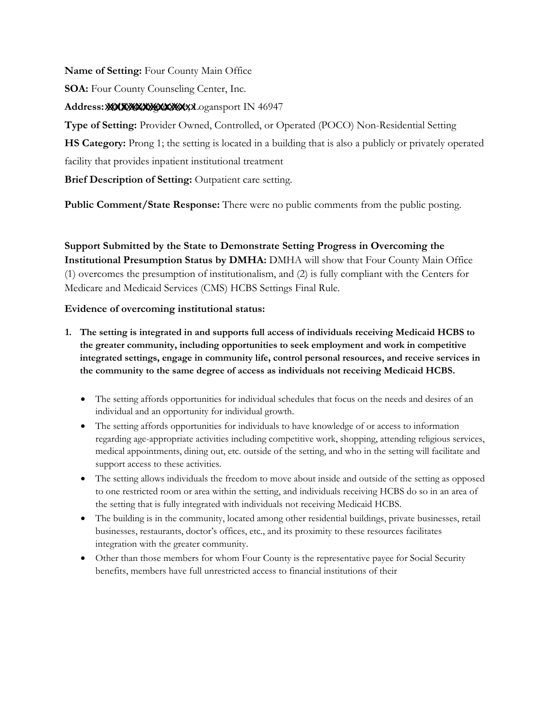**Name of Setting:** Four County Main Office

**SOA:** Four County Counseling Center, Inc.

# **Address:** xxxxxxxxxxxxxxxxx XXXXXXXXXXX 1015 Michigan Ave, Logansport IN 46947

**Type of Setting:** Provider Owned, Controlled, or Operated (POCO) Non-Residential Setting **HS Category:** Prong 1; the setting is located in a building that is also a publicly or privately operated facility that provides inpatient institutional treatment

**Brief Description of Setting:** Outpatient care setting.

**Public Comment/State Response:** There were no public comments from the public posting.

# **Support Submitted by the State to Demonstrate Setting Progress in Overcoming the**

**Institutional Presumption Status by DMHA:** DMHA will show that Four County Main Office (1) overcomes the presumption of institutionalism, and (2) is fully compliant with the Centers for Medicare and Medicaid Services (CMS) HCBS Settings Final Rule.

- **1. The setting is integrated in and supports full access of individuals receiving Medicaid HCBS to the greater community, including opportunities to seek employment and work in competitive integrated settings, engage in community life, control personal resources, and receive services in the community to the same degree of access as individuals not receiving Medicaid HCBS.** 
	- The setting affords opportunities for individual schedules that focus on the needs and desires of an individual and an opportunity for individual growth.
	- The setting affords opportunities for individuals to have knowledge of or access to information regarding age-appropriate activities including competitive work, shopping, attending religious services, medical appointments, dining out, etc. outside of the setting, and who in the setting will facilitate and support access to these activities.
	- The setting allows individuals the freedom to move about inside and outside of the setting as opposed to one restricted room or area within the setting, and individuals receiving HCBS do so in an area of the setting that is fully integrated with individuals not receiving Medicaid HCBS.
	- The building is in the community, located among other residential buildings, private businesses, retail businesses, restaurants, doctor's offices, etc., and its proximity to these resources facilitates integration with the greater community.
	- Other than those members for whom Four County is the representative payee for Social Security benefits, members have full unrestricted access to financial institutions of their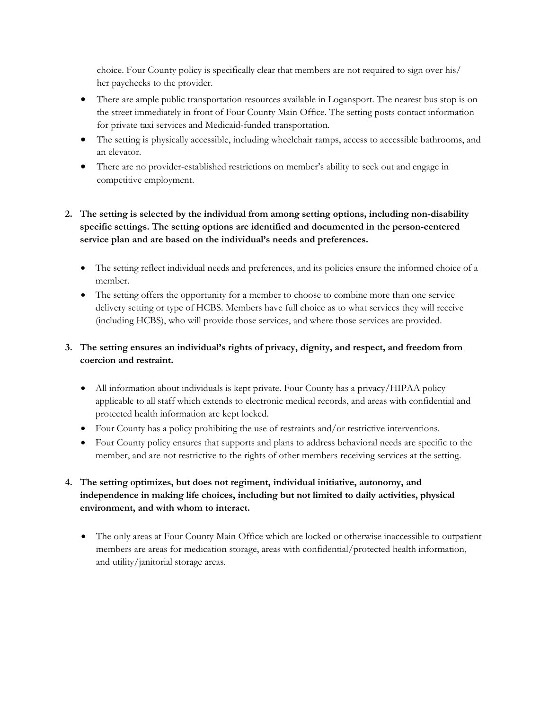choice. Four County policy is specifically clear that members are not required to sign over his/ her paychecks to the provider.

- There are ample public transportation resources available in Logansport. The nearest bus stop is on the street immediately in front of Four County Main Office. The setting posts contact information for private taxi services and Medicaid-funded transportation.
- The setting is physically accessible, including wheelchair ramps, access to accessible bathrooms, and an elevator.
- There are no provider-established restrictions on member's ability to seek out and engage in competitive employment.

## **2. The setting is selected by the individual from among setting options, including non-disability specific settings. The setting options are identified and documented in the person-centered service plan and are based on the individual's needs and preferences.**

- The setting reflect individual needs and preferences, and its policies ensure the informed choice of a member.
- The setting offers the opportunity for a member to choose to combine more than one service delivery setting or type of HCBS. Members have full choice as to what services they will receive (including HCBS), who will provide those services, and where those services are provided.

# **3. The setting ensures an individual's rights of privacy, dignity, and respect, and freedom from coercion and restraint.**

- All information about individuals is kept private. Four County has a privacy/HIPAA policy applicable to all staff which extends to electronic medical records, and areas with confidential and protected health information are kept locked.
- Four County has a policy prohibiting the use of restraints and/or restrictive interventions.
- Four County policy ensures that supports and plans to address behavioral needs are specific to the member, and are not restrictive to the rights of other members receiving services at the setting.
- **4. The setting optimizes, but does not regiment, individual initiative, autonomy, and independence in making life choices, including but not limited to daily activities, physical environment, and with whom to interact.** 
	- The only areas at Four County Main Office which are locked or otherwise inaccessible to outpatient members are areas for medication storage, areas with confidential/protected health information, and utility/janitorial storage areas.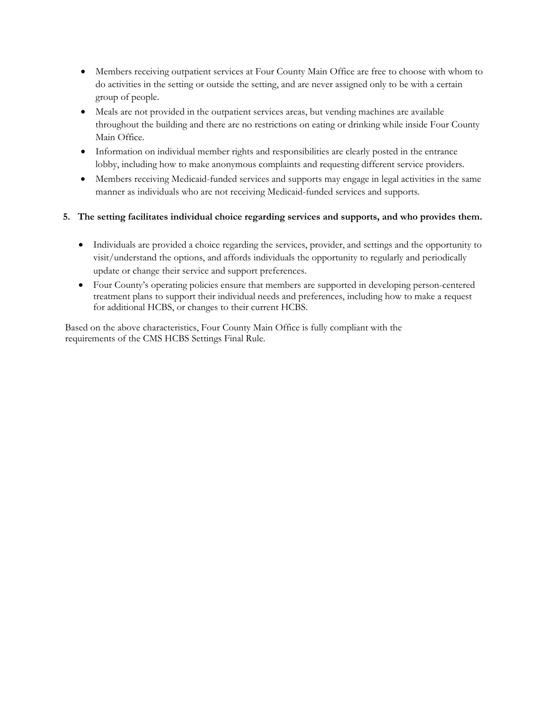- Members receiving outpatient services at Four County Main Office are free to choose with whom to do activities in the setting or outside the setting, and are never assigned only to be with a certain group of people.
- Meals are not provided in the outpatient services areas, but vending machines are available throughout the building and there are no restrictions on eating or drinking while inside Four County Main Office.
- Information on individual member rights and responsibilities are clearly posted in the entrance lobby, including how to make anonymous complaints and requesting different service providers.
- Members receiving Medicaid-funded services and supports may engage in legal activities in the same manner as individuals who are not receiving Medicaid-funded services and supports.

### **5. The setting facilitates individual choice regarding services and supports, and who provides them.**

- Individuals are provided a choice regarding the services, provider, and settings and the opportunity to visit/understand the options, and affords individuals the opportunity to regularly and periodically update or change their service and support preferences.
- Four County's operating policies ensure that members are supported in developing person-centered treatment plans to support their individual needs and preferences, including how to make a request for additional HCBS, or changes to their current HCBS.

Based on the above characteristics, Four County Main Office is fully compliant with the requirements of the CMS HCBS Settings Final Rule.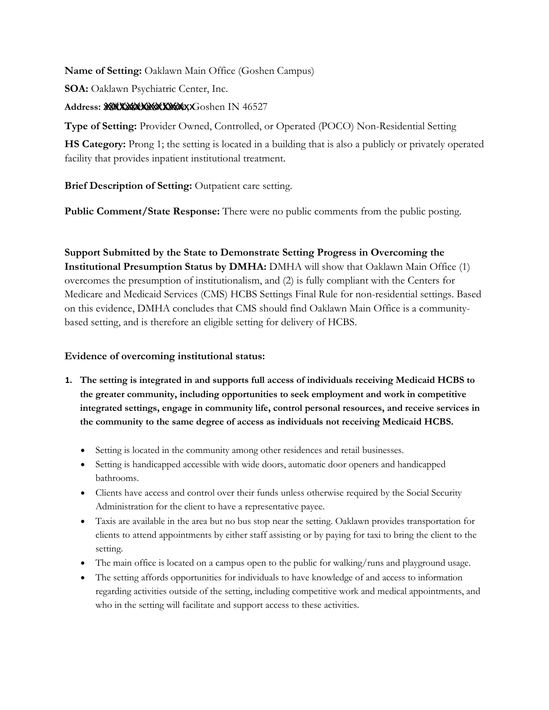**Name of Setting:** Oaklawn Main Office (Goshen Campus)

**SOA:** Oaklawn Psychiatric Center, Inc.

Address: **XXXXXXXXXXXXXXX**XXGoshen IN 46527

**Type of Setting:** Provider Owned, Controlled, or Operated (POCO) Non-Residential Setting

**HS Category:** Prong 1; the setting is located in a building that is also a publicly or privately operated facility that provides inpatient institutional treatment.

**Brief Description of Setting:** Outpatient care setting.

Public Comment/State Response: There were no public comments from the public posting.

**Support Submitted by the State to Demonstrate Setting Progress in Overcoming the Institutional Presumption Status by DMHA:** DMHA will show that Oaklawn Main Office (1) overcomes the presumption of institutionalism, and (2) is fully compliant with the Centers for Medicare and Medicaid Services (CMS) HCBS Settings Final Rule for non-residential settings. Based on this evidence, DMHA concludes that CMS should find Oaklawn Main Office is a communitybased setting, and is therefore an eligible setting for delivery of HCBS.

- **1. The setting is integrated in and supports full access of individuals receiving Medicaid HCBS to the greater community, including opportunities to seek employment and work in competitive integrated settings, engage in community life, control personal resources, and receive services in the community to the same degree of access as individuals not receiving Medicaid HCBS.**
	- Setting is located in the community among other residences and retail businesses.
	- • Setting is handicapped accessible with wide doors, automatic door openers and handicapped bathrooms.
	- • Clients have access and control over their funds unless otherwise required by the Social Security Administration for the client to have a representative payee.
	- • Taxis are available in the area but no bus stop near the setting. Oaklawn provides transportation for clients to attend appointments by either staff assisting or by paying for taxi to bring the client to the setting.
	- The main office is located on a campus open to the public for walking/runs and playground usage.
	- • The setting affords opportunities for individuals to have knowledge of and access to information regarding activities outside of the setting, including competitive work and medical appointments, and who in the setting will facilitate and support access to these activities.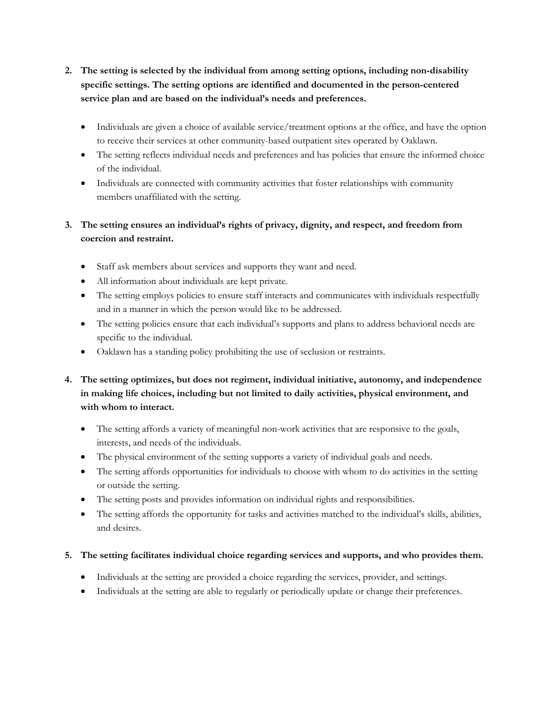- **2. The setting is selected by the individual from among setting options, including non-disability specific settings. The setting options are identified and documented in the person-centered service plan and are based on the individual's needs and preferences.**
	- • Individuals are given a choice of available service/treatment options at the office, and have the option to receive their services at other community-based outpatient sites operated by Oaklawn.
	- • The setting reflects individual needs and preferences and has policies that ensure the informed choice of the individual.
	- • Individuals are connected with community activities that foster relationships with community members unaffiliated with the setting.

# **3. The setting ensures an individual's rights of privacy, dignity, and respect, and freedom from coercion and restraint.**

- Staff ask members about services and supports they want and need.
- All information about individuals are kept private.
- • The setting employs policies to ensure staff interacts and communicates with individuals respectfully and in a manner in which the person would like to be addressed.
- • The setting policies ensure that each individual's supports and plans to address behavioral needs are specific to the individual.
- Oaklawn has a standing policy prohibiting the use of seclusion or restraints.
- **4. The setting optimizes, but does not regiment, individual initiative, autonomy, and independence in making life choices, including but not limited to daily activities, physical environment, and with whom to interact.**
	- • The setting affords a variety of meaningful non-work activities that are responsive to the goals, interests, and needs of the individuals.
	- The physical environment of the setting supports a variety of individual goals and needs.
	- • The setting affords opportunities for individuals to choose with whom to do activities in the setting or outside the setting.
	- The setting posts and provides information on individual rights and responsibilities.
	- • The setting affords the opportunity for tasks and activities matched to the individual's skills, abilities, and desires.

### **5. The setting facilitates individual choice regarding services and supports, and who provides them.**

- Individuals at the setting are provided a choice regarding the services, provider, and settings.
- Individuals at the setting are able to regularly or periodically update or change their preferences.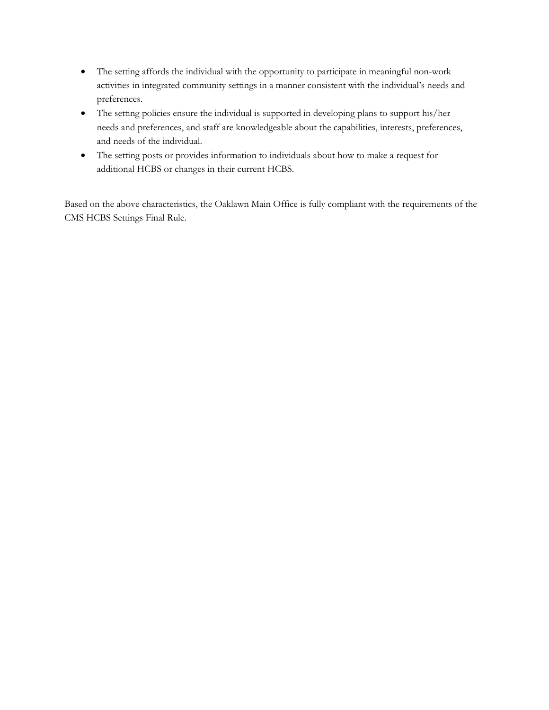- • The setting affords the individual with the opportunity to participate in meaningful non-work activities in integrated community settings in a manner consistent with the individual's needs and preferences.
- • The setting policies ensure the individual is supported in developing plans to support his/her needs and preferences, and staff are knowledgeable about the capabilities, interests, preferences, and needs of the individual.
- • The setting posts or provides information to individuals about how to make a request for additional HCBS or changes in their current HCBS.

 Based on the above characteristics, the Oaklawn Main Office is fully compliant with the requirements of the CMS HCBS Settings Final Rule.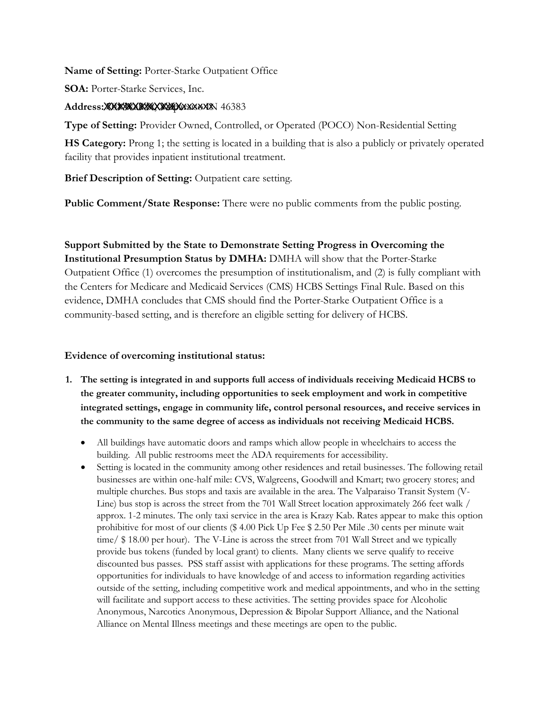**Name of Setting:** Porter-Starke Outpatient Office

**SOA:** Porter-Starke Services, Inc.

### Address: **XXXXXXXXXXXXXXXXXXX** 46383

**Type of Setting:** Provider Owned, Controlled, or Operated (POCO) Non-Residential Setting

**HS Category:** Prong 1; the setting is located in a building that is also a publicly or privately operated facility that provides inpatient institutional treatment.

**Brief Description of Setting:** Outpatient care setting.

**Public Comment/State Response:** There were no public comments from the public posting.

 the Centers for Medicare and Medicaid Services (CMS) HCBS Settings Final Rule. Based on this **Support Submitted by the State to Demonstrate Setting Progress in Overcoming the Institutional Presumption Status by DMHA:** DMHA will show that the Porter-Starke Outpatient Office (1) overcomes the presumption of institutionalism, and (2) is fully compliant with evidence, DMHA concludes that CMS should find the Porter-Starke Outpatient Office is a community-based setting, and is therefore an eligible setting for delivery of HCBS.

- **1. The setting is integrated in and supports full access of individuals receiving Medicaid HCBS to the greater community, including opportunities to seek employment and work in competitive integrated settings, engage in community life, control personal resources, and receive services in the community to the same degree of access as individuals not receiving Medicaid HCBS.**
	- • All buildings have automatic doors and ramps which allow people in wheelchairs to access the building. All public restrooms meet the ADA requirements for accessibility.
	- • Setting is located in the community among other residences and retail businesses. The following retail businesses are within one-half mile: CVS, Walgreens, Goodwill and Kmart; two grocery stores; and multiple churches. Bus stops and taxis are available in the area. The Valparaiso Transit System (V- Line) bus stop is across the street from the 701 Wall Street location approximately 266 feet walk / approx. 1-2 minutes. The only taxi service in the area is Krazy Kab. Rates appear to make this option prohibitive for most of our clients (\$ 4.00 Pick Up Fee \$ 2.50 Per Mile .30 cents per minute wait time/ \$ 18.00 per hour). The V-Line is across the street from 701 Wall Street and we typically provide bus tokens (funded by local grant) to clients. Many clients we serve qualify to receive discounted bus passes. PSS staff assist with applications for these programs. The setting affords opportunities for individuals to have knowledge of and access to information regarding activities outside of the setting, including competitive work and medical appointments, and who in the setting will facilitate and support access to these activities. The setting provides space for Alcoholic Anonymous, Narcotics Anonymous, Depression & Bipolar Support Alliance, and the National Alliance on Mental Illness meetings and these meetings are open to the public.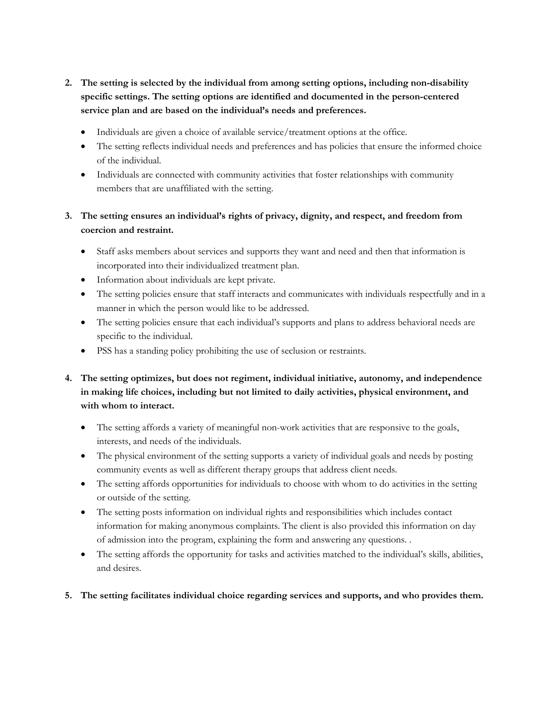- **2. The setting is selected by the individual from among setting options, including non-disability specific settings. The setting options are identified and documented in the person-centered service plan and are based on the individual's needs and preferences.**
	- Individuals are given a choice of available service/treatment options at the office.
	- • The setting reflects individual needs and preferences and has policies that ensure the informed choice of the individual.
	- • Individuals are connected with community activities that foster relationships with community members that are unaffiliated with the setting.
- **3. The setting ensures an individual's rights of privacy, dignity, and respect, and freedom from coercion and restraint.**
	- • Staff asks members about services and supports they want and need and then that information is incorporated into their individualized treatment plan.
	- Information about individuals are kept private.
	- • The setting policies ensure that staff interacts and communicates with individuals respectfully and in a manner in which the person would like to be addressed.
	- • The setting policies ensure that each individual's supports and plans to address behavioral needs are specific to the individual.
	- PSS has a standing policy prohibiting the use of seclusion or restraints.
- **4. The setting optimizes, but does not regiment, individual initiative, autonomy, and independence in making life choices, including but not limited to daily activities, physical environment, and with whom to interact.**
	- • The setting affords a variety of meaningful non-work activities that are responsive to the goals, interests, and needs of the individuals.
	- • The physical environment of the setting supports a variety of individual goals and needs by posting community events as well as different therapy groups that address client needs.
	- • The setting affords opportunities for individuals to choose with whom to do activities in the setting or outside of the setting.
	- • The setting posts information on individual rights and responsibilities which includes contact information for making anonymous complaints. The client is also provided this information on day of admission into the program, explaining the form and answering any questions. .
	- • The setting affords the opportunity for tasks and activities matched to the individual's skills, abilities, and desires.
- **5. The setting facilitates individual choice regarding services and supports, and who provides them.**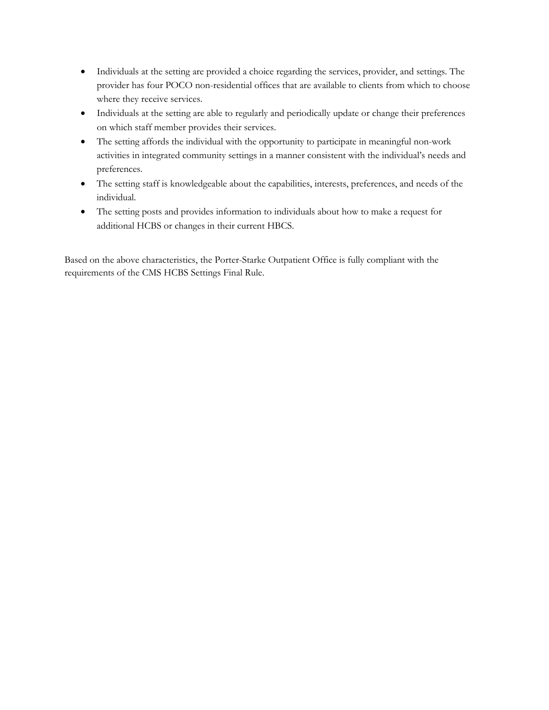- • Individuals at the setting are provided a choice regarding the services, provider, and settings. The provider has four POCO non-residential offices that are available to clients from which to choose where they receive services.
- • Individuals at the setting are able to regularly and periodically update or change their preferences on which staff member provides their services.
- • The setting affords the individual with the opportunity to participate in meaningful non-work activities in integrated community settings in a manner consistent with the individual's needs and preferences.
- • The setting staff is knowledgeable about the capabilities, interests, preferences, and needs of the individual.
- • The setting posts and provides information to individuals about how to make a request for additional HCBS or changes in their current HBCS.

 Based on the above characteristics, the Porter-Starke Outpatient Office is fully compliant with the requirements of the CMS HCBS Settings Final Rule.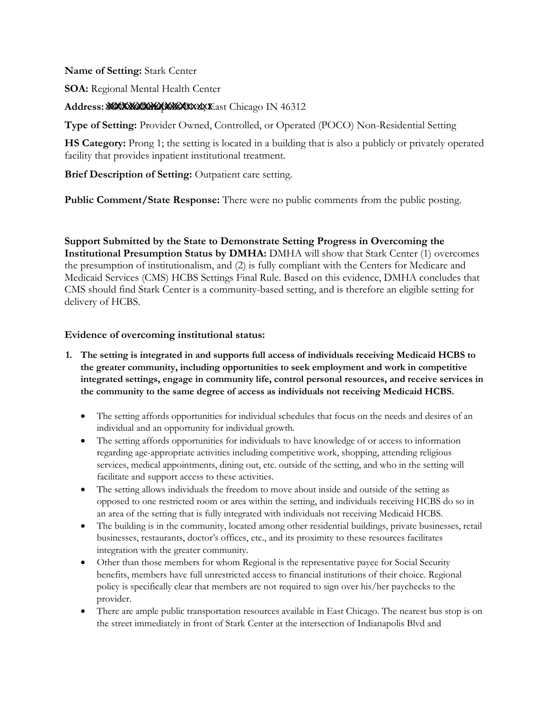**Name of Setting:** Stark Center

**SOA:** Regional Mental Health Center

**Address:** xxxxxxxxxxxxxxxxxxxx 3903 Indianapolis Blvd, East Chicago IN 46312 XXXXXXXXXXX

**Type of Setting:** Provider Owned, Controlled, or Operated (POCO) Non-Residential Setting

**HS Category:** Prong 1; the setting is located in a building that is also a publicly or privately operated facility that provides inpatient institutional treatment.

**Brief Description of Setting:** Outpatient care setting.

**Public Comment/State Response:** There were no public comments from the public posting.

 CMS should find Stark Center is a community-based setting, and is therefore an eligible setting for **Support Submitted by the State to Demonstrate Setting Progress in Overcoming the Institutional Presumption Status by DMHA:** DMHA will show that Stark Center (1) overcomes the presumption of institutionalism, and (2) is fully compliant with the Centers for Medicare and Medicaid Services (CMS) HCBS Settings Final Rule. Based on this evidence, DMHA concludes that delivery of HCBS.

- **1. The setting is integrated in and supports full access of individuals receiving Medicaid HCBS to the greater community, including opportunities to seek employment and work in competitive integrated settings, engage in community life, control personal resources, and receive services in the community to the same degree of access as individuals not receiving Medicaid HCBS.**
	- • The setting affords opportunities for individual schedules that focus on the needs and desires of an individual and an opportunity for individual growth.
	- • The setting affords opportunities for individuals to have knowledge of or access to information regarding age-appropriate activities including competitive work, shopping, attending religious services, medical appointments, dining out, etc. outside of the setting, and who in the setting will facilitate and support access to these activities.
	- • The setting allows individuals the freedom to move about inside and outside of the setting as opposed to one restricted room or area within the setting, and individuals receiving HCBS do so in an area of the setting that is fully integrated with individuals not receiving Medicaid HCBS.
	- • The building is in the community, located among other residential buildings, private businesses, retail businesses, restaurants, doctor's offices, etc., and its proximity to these resources facilitates integration with the greater community.
	- • Other than those members for whom Regional is the representative payee for Social Security benefits, members have full unrestricted access to financial institutions of their choice. Regional policy is specifically clear that members are not required to sign over his/her paychecks to the provider.
	- • There are ample public transportation resources available in East Chicago. The nearest bus stop is on the street immediately in front of Stark Center at the intersection of Indianapolis Blvd and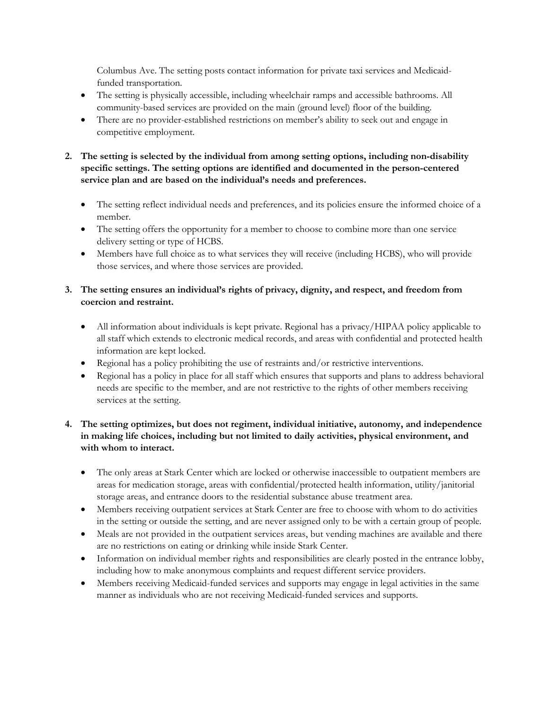Columbus Ave. The setting posts contact information for private taxi services and Medicaidfunded transportation.

- • The setting is physically accessible, including wheelchair ramps and accessible bathrooms. All community-based services are provided on the main (ground level) floor of the building.
- • There are no provider-established restrictions on member's ability to seek out and engage in competitive employment.
- **2. The setting is selected by the individual from among setting options, including non-disability specific settings. The setting options are identified and documented in the person-centered service plan and are based on the individual's needs and preferences.**
	- • The setting reflect individual needs and preferences, and its policies ensure the informed choice of a member.
	- • The setting offers the opportunity for a member to choose to combine more than one service delivery setting or type of HCBS.
	- • Members have full choice as to what services they will receive (including HCBS), who will provide those services, and where those services are provided.

### **3. The setting ensures an individual's rights of privacy, dignity, and respect, and freedom from coercion and restraint.**

- • All information about individuals is kept private. Regional has a privacy/HIPAA policy applicable to all staff which extends to electronic medical records, and areas with confidential and protected health information are kept locked.
- Regional has a policy prohibiting the use of restraints and/or restrictive interventions.
- • Regional has a policy in place for all staff which ensures that supports and plans to address behavioral needs are specific to the member, and are not restrictive to the rights of other members receiving services at the setting.

### **4. The setting optimizes, but does not regiment, individual initiative, autonomy, and independence in making life choices, including but not limited to daily activities, physical environment, and with whom to interact.**

- • The only areas at Stark Center which are locked or otherwise inaccessible to outpatient members are areas for medication storage, areas with confidential/protected health information, utility/janitorial storage areas, and entrance doors to the residential substance abuse treatment area.
- • Members receiving outpatient services at Stark Center are free to choose with whom to do activities in the setting or outside the setting, and are never assigned only to be with a certain group of people.
- • Meals are not provided in the outpatient services areas, but vending machines are available and there are no restrictions on eating or drinking while inside Stark Center.
- • Information on individual member rights and responsibilities are clearly posted in the entrance lobby, including how to make anonymous complaints and request different service providers.
- • Members receiving Medicaid-funded services and supports may engage in legal activities in the same manner as individuals who are not receiving Medicaid-funded services and supports.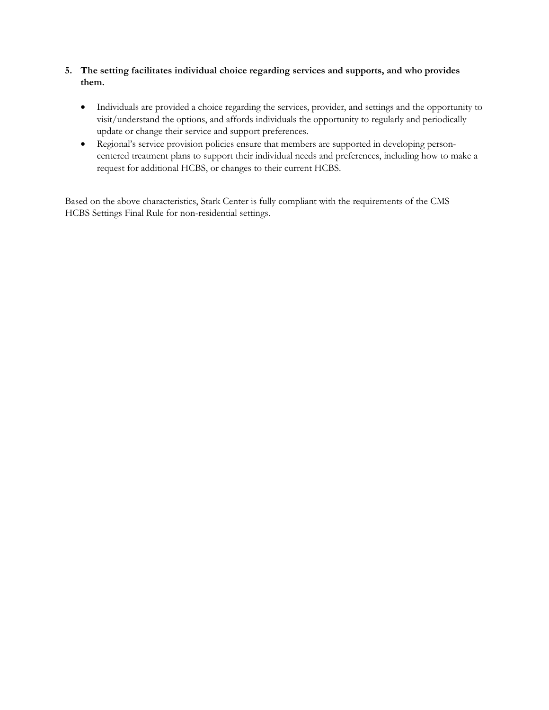- **5. The setting facilitates individual choice regarding services and supports, and who provides them.**
	- • Individuals are provided a choice regarding the services, provider, and settings and the opportunity to visit/understand the options, and affords individuals the opportunity to regularly and periodically update or change their service and support preferences.
	- • Regional's service provision policies ensure that members are supported in developing person- centered treatment plans to support their individual needs and preferences, including how to make a request for additional HCBS, or changes to their current HCBS.

 Based on the above characteristics, Stark Center is fully compliant with the requirements of the CMS HCBS Settings Final Rule for non-residential settings.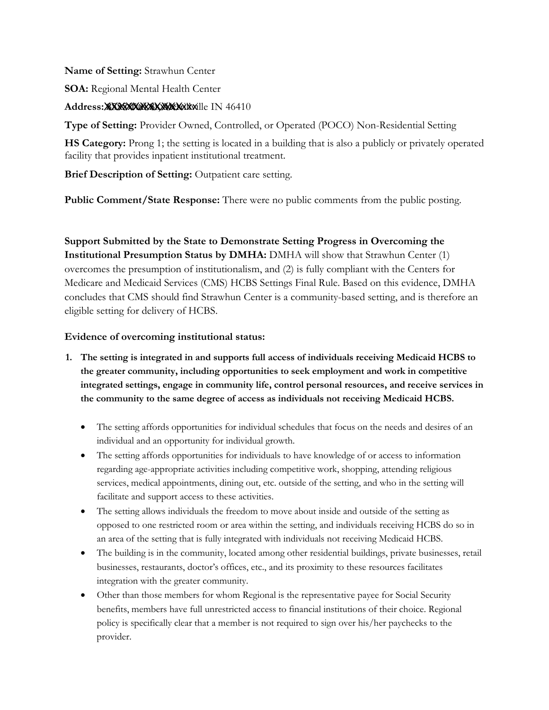### **Name of Setting:** Strawhun Center

**SOA:** Regional Mental Health Center

### Address: XXXXXXXXXXXXXXXXXXXXXXIIe IN 46410

**Type of Setting:** Provider Owned, Controlled, or Operated (POCO) Non-Residential Setting

**HS Category:** Prong 1; the setting is located in a building that is also a publicly or privately operated facility that provides inpatient institutional treatment.

**Brief Description of Setting:** Outpatient care setting.

**Public Comment/State Response:** There were no public comments from the public posting.

 overcomes the presumption of institutionalism, and (2) is fully compliant with the Centers for Medicare and Medicaid Services (CMS) HCBS Settings Final Rule. Based on this evidence, DMHA **Support Submitted by the State to Demonstrate Setting Progress in Overcoming the Institutional Presumption Status by DMHA:** DMHA will show that Strawhun Center (1) concludes that CMS should find Strawhun Center is a community-based setting, and is therefore an eligible setting for delivery of HCBS.

- **1. The setting is integrated in and supports full access of individuals receiving Medicaid HCBS to the greater community, including opportunities to seek employment and work in competitive integrated settings, engage in community life, control personal resources, and receive services in the community to the same degree of access as individuals not receiving Medicaid HCBS.**
	- • The setting affords opportunities for individual schedules that focus on the needs and desires of an individual and an opportunity for individual growth.
	- • The setting affords opportunities for individuals to have knowledge of or access to information regarding age-appropriate activities including competitive work, shopping, attending religious services, medical appointments, dining out, etc. outside of the setting, and who in the setting will facilitate and support access to these activities.
	- • The setting allows individuals the freedom to move about inside and outside of the setting as opposed to one restricted room or area within the setting, and individuals receiving HCBS do so in an area of the setting that is fully integrated with individuals not receiving Medicaid HCBS.
	- • The building is in the community, located among other residential buildings, private businesses, retail businesses, restaurants, doctor's offices, etc., and its proximity to these resources facilitates integration with the greater community.
	- • Other than those members for whom Regional is the representative payee for Social Security benefits, members have full unrestricted access to financial institutions of their choice. Regional policy is specifically clear that a member is not required to sign over his/her paychecks to the provider.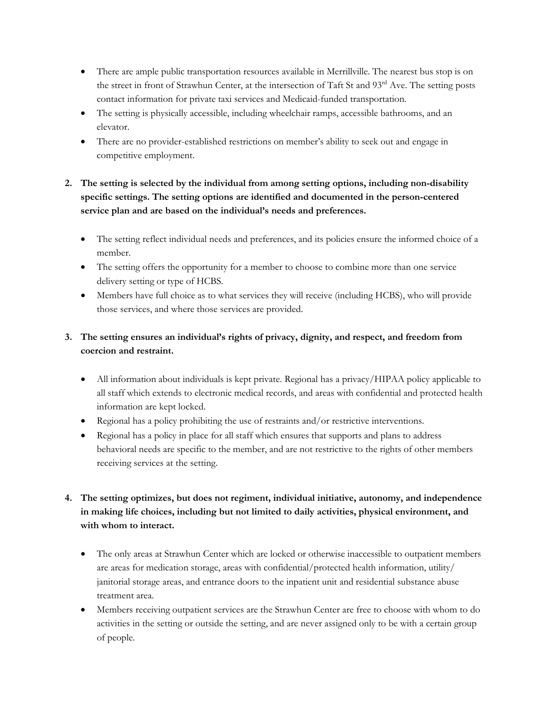- There are ample public transportation resources available in Merrillville. The nearest bus stop is on the street in front of Strawhun Center, at the intersection of Taft St and 93rd Ave. The setting posts contact information for private taxi services and Medicaid-funded transportation.
- • The setting is physically accessible, including wheelchair ramps, accessible bathrooms, and an elevator.
- • There are no provider-established restrictions on member's ability to seek out and engage in competitive employment.

# **2. The setting is selected by the individual from among setting options, including non-disability specific settings. The setting options are identified and documented in the person-centered service plan and are based on the individual's needs and preferences.**

- • The setting reflect individual needs and preferences, and its policies ensure the informed choice of a member.
- • The setting offers the opportunity for a member to choose to combine more than one service delivery setting or type of HCBS.
- • Members have full choice as to what services they will receive (including HCBS), who will provide those services, and where those services are provided.

# **3. The setting ensures an individual's rights of privacy, dignity, and respect, and freedom from coercion and restraint.**

- • All information about individuals is kept private. Regional has a privacy/HIPAA policy applicable to all staff which extends to electronic medical records, and areas with confidential and protected health information are kept locked.
- Regional has a policy prohibiting the use of restraints and/or restrictive interventions.
- • Regional has a policy in place for all staff which ensures that supports and plans to address behavioral needs are specific to the member, and are not restrictive to the rights of other members receiving services at the setting.

# **4. The setting optimizes, but does not regiment, individual initiative, autonomy, and independence in making life choices, including but not limited to daily activities, physical environment, and with whom to interact.**

- • The only areas at Strawhun Center which are locked or otherwise inaccessible to outpatient members are areas for medication storage, areas with confidential/protected health information, utility/ janitorial storage areas, and entrance doors to the inpatient unit and residential substance abuse treatment area.
- • Members receiving outpatient services are the Strawhun Center are free to choose with whom to do activities in the setting or outside the setting, and are never assigned only to be with a certain group of people.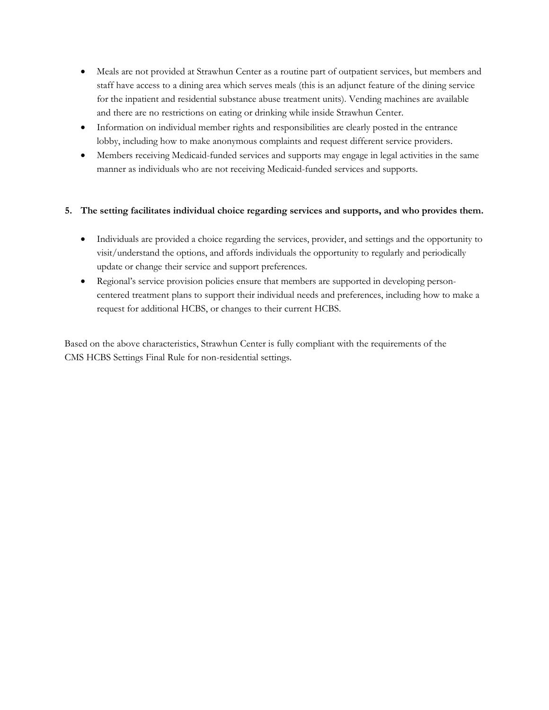- • Meals are not provided at Strawhun Center as a routine part of outpatient services, but members and staff have access to a dining area which serves meals (this is an adjunct feature of the dining service for the inpatient and residential substance abuse treatment units). Vending machines are available and there are no restrictions on eating or drinking while inside Strawhun Center.
- • Information on individual member rights and responsibilities are clearly posted in the entrance lobby, including how to make anonymous complaints and request different service providers.
- • Members receiving Medicaid-funded services and supports may engage in legal activities in the same manner as individuals who are not receiving Medicaid-funded services and supports.

### **5. The setting facilitates individual choice regarding services and supports, and who provides them.**

- • Individuals are provided a choice regarding the services, provider, and settings and the opportunity to visit/understand the options, and affords individuals the opportunity to regularly and periodically update or change their service and support preferences.
- • Regional's service provision policies ensure that members are supported in developing person- centered treatment plans to support their individual needs and preferences, including how to make a request for additional HCBS, or changes to their current HCBS.

 Based on the above characteristics, Strawhun Center is fully compliant with the requirements of the CMS HCBS Settings Final Rule for non-residential settings.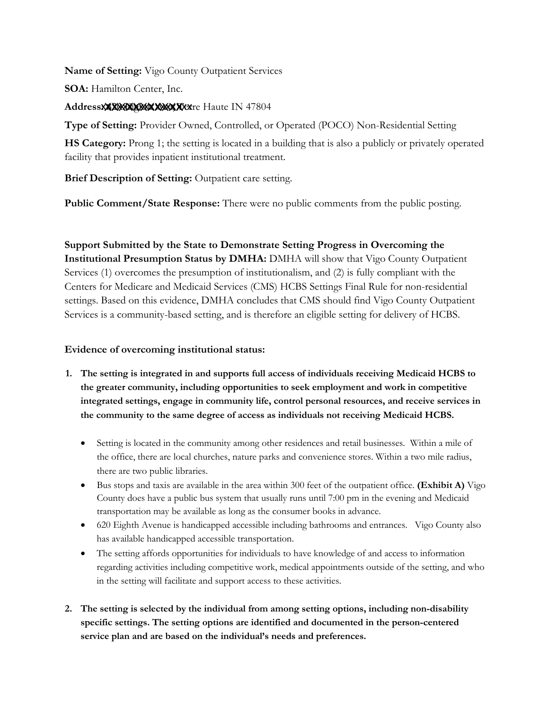**Name of Setting:** Vigo County Outpatient Services

**SOA:** Hamilton Center, Inc.

AddressXXXXXXXXXXXXXXXXXXXX Haute IN 47804

**Type of Setting:** Provider Owned, Controlled, or Operated (POCO) Non-Residential Setting

**HS Category:** Prong 1; the setting is located in a building that is also a publicly or privately operated facility that provides inpatient institutional treatment.

**Brief Description of Setting:** Outpatient care setting.

**Public Comment/State Response:** There were no public comments from the public posting.

 Centers for Medicare and Medicaid Services (CMS) HCBS Settings Final Rule for non-residential **Support Submitted by the State to Demonstrate Setting Progress in Overcoming the Institutional Presumption Status by DMHA:** DMHA will show that Vigo County Outpatient Services (1) overcomes the presumption of institutionalism, and (2) is fully compliant with the settings. Based on this evidence, DMHA concludes that CMS should find Vigo County Outpatient Services is a community-based setting, and is therefore an eligible setting for delivery of HCBS.

- **1. The setting is integrated in and supports full access of individuals receiving Medicaid HCBS to the greater community, including opportunities to seek employment and work in competitive integrated settings, engage in community life, control personal resources, and receive services in the community to the same degree of access as individuals not receiving Medicaid HCBS.**
	- • Setting is located in the community among other residences and retail businesses. Within a mile of the office, there are local churches, nature parks and convenience stores. Within a two mile radius, there are two public libraries.
	- • Bus stops and taxis are available in the area within 300 feet of the outpatient office. **(Exhibit A)** Vigo County does have a public bus system that usually runs until 7:00 pm in the evening and Medicaid transportation may be available as long as the consumer books in advance.
	- • 620 Eighth Avenue is handicapped accessible including bathrooms and entrances. Vigo County also has available handicapped accessible transportation.
	- • The setting affords opportunities for individuals to have knowledge of and access to information regarding activities including competitive work, medical appointments outside of the setting, and who in the setting will facilitate and support access to these activities.
- **2. The setting is selected by the individual from among setting options, including non-disability specific settings. The setting options are identified and documented in the person-centered service plan and are based on the individual's needs and preferences.**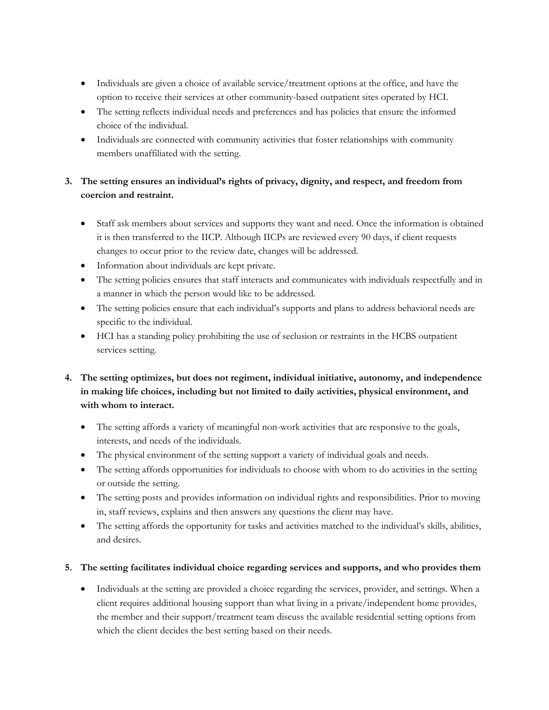- • Individuals are given a choice of available service/treatment options at the office, and have the option to receive their services at other community-based outpatient sites operated by HCI.
- • The setting reflects individual needs and preferences and has policies that ensure the informed choice of the individual.
- • Individuals are connected with community activities that foster relationships with community members unaffiliated with the setting.

# **3. The setting ensures an individual's rights of privacy, dignity, and respect, and freedom from coercion and restraint.**

- • Staff ask members about services and supports they want and need. Once the information is obtained it is then transferred to the IICP. Although IICPs are reviewed every 90 days, if client requests changes to occur prior to the review date, changes will be addressed.
- Information about individuals are kept private.
- • The setting policies ensures that staff interacts and communicates with individuals respectfully and in a manner in which the person would like to be addressed.
- • The setting policies ensure that each individual's supports and plans to address behavioral needs are specific to the individual.
- • HCI has a standing policy prohibiting the use of seclusion or restraints in the HCBS outpatient services setting.

# **4. The setting optimizes, but does not regiment, individual initiative, autonomy, and independence in making life choices, including but not limited to daily activities, physical environment, and with whom to interact.**

- • The setting affords a variety of meaningful non-work activities that are responsive to the goals, interests, and needs of the individuals.
- The physical environment of the setting support a variety of individual goals and needs.
- • The setting affords opportunities for individuals to choose with whom to do activities in the setting or outside the setting.
- • The setting posts and provides information on individual rights and responsibilities. Prior to moving in, staff reviews, explains and then answers any questions the client may have.
- • The setting affords the opportunity for tasks and activities matched to the individual's skills, abilities, and desires.

# **5. The setting facilitates individual choice regarding services and supports, and who provides them**

 • Individuals at the setting are provided a choice regarding the services, provider, and settings. When a client requires additional housing support than what living in a private/independent home provides, the member and their support/treatment team discuss the available residential setting options from which the client decides the best setting based on their needs.